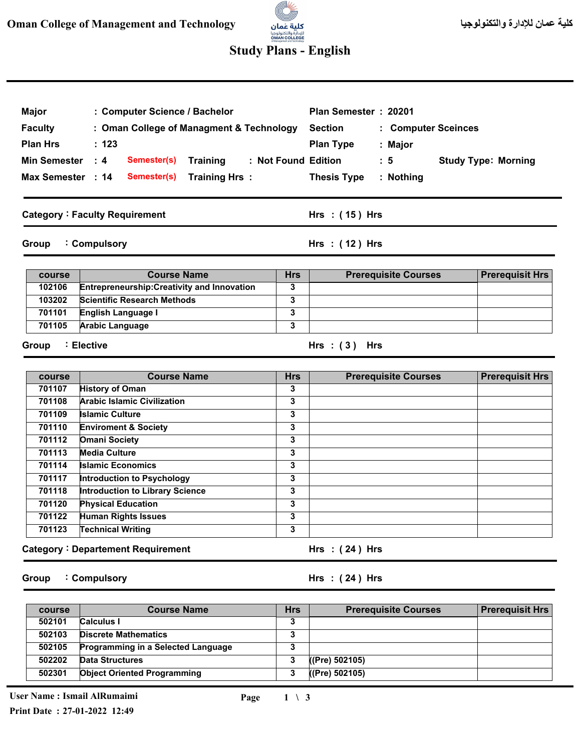# a. للإدارة والتكنولوجيا<br>**OMAN COLLEGE**<br>«Managementard Technology

## **Study Plans - English**

| : Computer Science / Bachelor<br><b>Major</b><br><b>Faculty</b><br>: Oman College of Managment & Technology<br><b>Plan Hrs</b><br>: 123<br><b>Min Semester</b><br>$\therefore$ 4<br>: Not Found Edition<br>Semester(s)<br><b>Training</b><br>Max Semester : 14<br>Semester(s)<br><b>Training Hrs:</b> |                                                        |                         | Plan Semester: 20201<br><b>Section</b><br>: Computer Sceinces<br><b>Plan Type</b><br>: Major<br>$\therefore$ 5<br><b>Study Type: Morning</b><br><b>Thesis Type</b><br>: Nothing |                        |
|-------------------------------------------------------------------------------------------------------------------------------------------------------------------------------------------------------------------------------------------------------------------------------------------------------|--------------------------------------------------------|-------------------------|---------------------------------------------------------------------------------------------------------------------------------------------------------------------------------|------------------------|
|                                                                                                                                                                                                                                                                                                       | <b>Category: Faculty Requirement</b>                   |                         | Hrs : (15) Hrs                                                                                                                                                                  |                        |
| Group                                                                                                                                                                                                                                                                                                 | : Compulsory                                           |                         | Hrs: $(12)$ Hrs                                                                                                                                                                 |                        |
| course                                                                                                                                                                                                                                                                                                | <b>Course Name</b>                                     | <b>Hrs</b>              | <b>Prerequisite Courses</b>                                                                                                                                                     | <b>Prerequisit Hrs</b> |
| 102106                                                                                                                                                                                                                                                                                                | Entrepreneurship: Creativity and Innovation            | 3                       |                                                                                                                                                                                 |                        |
| 103202                                                                                                                                                                                                                                                                                                | <b>Scientific Research Methods</b>                     | 3                       |                                                                                                                                                                                 |                        |
| 701101                                                                                                                                                                                                                                                                                                | English Language I                                     | 3                       |                                                                                                                                                                                 |                        |
| 701105                                                                                                                                                                                                                                                                                                | <b>Arabic Language</b>                                 | 3                       |                                                                                                                                                                                 |                        |
| Group                                                                                                                                                                                                                                                                                                 | : Elective                                             |                         | Hrs $:(3)$ Hrs                                                                                                                                                                  |                        |
| course                                                                                                                                                                                                                                                                                                | <b>Course Name</b>                                     | Hrs                     | <b>Prerequisite Courses</b>                                                                                                                                                     | <b>Prerequisit Hrs</b> |
|                                                                                                                                                                                                                                                                                                       |                                                        | 3                       |                                                                                                                                                                                 |                        |
| 701107                                                                                                                                                                                                                                                                                                | <b>History of Oman</b>                                 |                         |                                                                                                                                                                                 |                        |
| 701108                                                                                                                                                                                                                                                                                                | <b>Arabic Islamic Civilization</b>                     | $\overline{\mathbf{3}}$ |                                                                                                                                                                                 |                        |
| 701109                                                                                                                                                                                                                                                                                                | <b>Islamic Culture</b>                                 | 3                       |                                                                                                                                                                                 |                        |
| 701110                                                                                                                                                                                                                                                                                                | <b>Enviroment &amp; Society</b>                        | 3                       |                                                                                                                                                                                 |                        |
| 701112                                                                                                                                                                                                                                                                                                | <b>Omani Society</b>                                   | 3                       |                                                                                                                                                                                 |                        |
| 701113                                                                                                                                                                                                                                                                                                | <b>Media Culture</b>                                   | 3                       |                                                                                                                                                                                 |                        |
| 701114                                                                                                                                                                                                                                                                                                | <b>Islamic Economics</b>                               | 3                       |                                                                                                                                                                                 |                        |
| 701117                                                                                                                                                                                                                                                                                                | Introduction to Psychology                             | 3                       |                                                                                                                                                                                 |                        |
| 701118                                                                                                                                                                                                                                                                                                | <b>Introduction to Library Science</b>                 | 3                       |                                                                                                                                                                                 |                        |
| 701120                                                                                                                                                                                                                                                                                                | <b>Physical Education</b>                              | 3                       |                                                                                                                                                                                 |                        |
| 701122<br>701123                                                                                                                                                                                                                                                                                      | <b>Human Rights Issues</b><br><b>Technical Writing</b> | 3<br>3                  |                                                                                                                                                                                 |                        |

**Group Compulsory :**

#### **( 24 ) Hrs : Hrs**

| course | <b>Course Name</b>                        | <b>Hrs</b> | <b>Prerequisite Courses</b> | <b>Prerequisit Hrs</b> |
|--------|-------------------------------------------|------------|-----------------------------|------------------------|
| 502101 | <b>Calculus I</b>                         | ۰J         |                             |                        |
| 502103 | <b>Discrete Mathematics</b>               | o          |                             |                        |
| 502105 | <b>Programming in a Selected Language</b> | っ<br>a     |                             |                        |
| 502202 | Data Structures                           |            | ((Pre) 502105)              |                        |
| 502301 | <b>Object Oriented Programming</b>        | 3          | ((Pre) 502105)              |                        |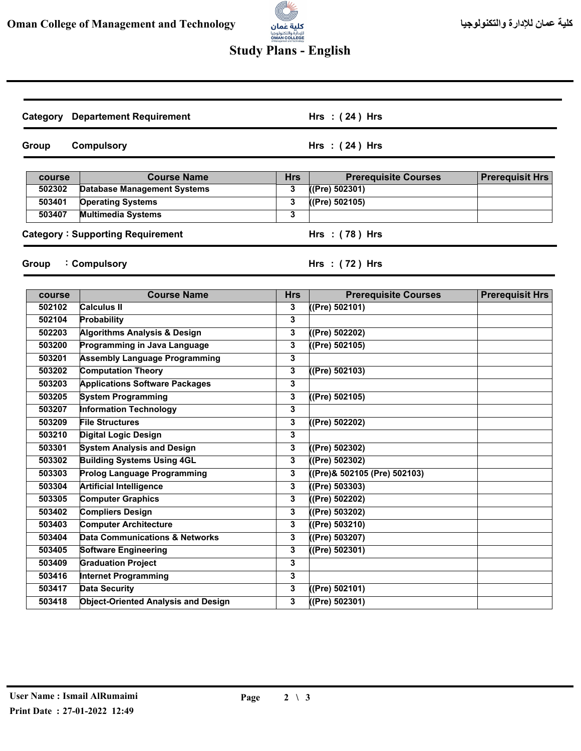

## **Study Plans - English**

|        | <b>Category</b> Departement Requirement    |              | Hrs: $(24)$ Hrs              |                        |
|--------|--------------------------------------------|--------------|------------------------------|------------------------|
| Group  | <b>Compulsory</b>                          |              | Hrs: $(24)$ Hrs              |                        |
| course | <b>Course Name</b>                         | <b>Hrs</b>   | <b>Prerequisite Courses</b>  | <b>Prerequisit Hrs</b> |
| 502302 | <b>Database Management Systems</b>         | 3            | $($ (Pre) 502301)            |                        |
| 503401 | <b>Operating Systems</b>                   | 3            | ((Pre) 502105)               |                        |
| 503407 | <b>Multimedia Systems</b>                  | 3            |                              |                        |
|        | <b>Category: Supporting Requirement</b>    |              | Hrs: (78) Hrs                |                        |
| Group  | : Compulsory                               |              | Hrs $:(72)$ Hrs              |                        |
|        |                                            |              |                              |                        |
| course | <b>Course Name</b>                         | <b>Hrs</b>   | <b>Prerequisite Courses</b>  | <b>Prerequisit Hrs</b> |
| 502102 | <b>Calculus II</b>                         | 3            | ((Pre) 502101)               |                        |
| 502104 | Probability                                | 3            |                              |                        |
| 502203 | <b>Algorithms Analysis &amp; Design</b>    | 3            | (Pre) 502202)                |                        |
| 503200 | Programming in Java Language               | 3            | ((Pre) 502105)               |                        |
| 503201 | <b>Assembly Language Programming</b>       | 3            |                              |                        |
| 503202 | <b>Computation Theory</b>                  | 3            | (Pre) 502103)                |                        |
| 503203 | <b>Applications Software Packages</b>      | 3            |                              |                        |
| 503205 | <b>System Programming</b>                  | 3            | ((Pre) 502105)               |                        |
| 503207 | <b>Information Technology</b>              | 3            |                              |                        |
| 503209 | <b>File Structures</b>                     | 3            | (Pre) 502202)                |                        |
| 503210 | <b>Digital Logic Design</b>                | 3            |                              |                        |
| 503301 | <b>System Analysis and Design</b>          | 3            | (Pre) 502302)                |                        |
| 503302 | <b>Building Systems Using 4GL</b>          | 3            | (Pre) 502302)                |                        |
| 503303 | <b>Prolog Language Programming</b>         | 3            | ((Pre)& 502105 (Pre) 502103) |                        |
| 503304 | <b>Artificial Intelligence</b>             | 3            | ((Pre) 503303)               |                        |
| 503305 | <b>Computer Graphics</b>                   | 3            | ((Pre) 502202)               |                        |
| 503402 | <b>Compliers Design</b>                    | 3            | ((Pre) 503202)               |                        |
| 503403 | <b>Computer Architecture</b>               | 3            | ( (Pre) 503210)              |                        |
| 503404 | <b>Data Communications &amp; Networks</b>  | 3            | ((Pre) 503207)               |                        |
| 503405 | <b>Software Engineering</b>                | 3            | ((Pre) 502301)               |                        |
| 503409 | <b>Graduation Project</b>                  | 3            |                              |                        |
| 503416 | <b>Internet Programming</b>                | 3            |                              |                        |
| 503417 | <b>Data Security</b>                       | 3            | ((Pre) 502101)               |                        |
| 503418 | <b>Object-Oriented Analysis and Design</b> | $\mathbf{3}$ | $($ (Pre) 502301)            |                        |